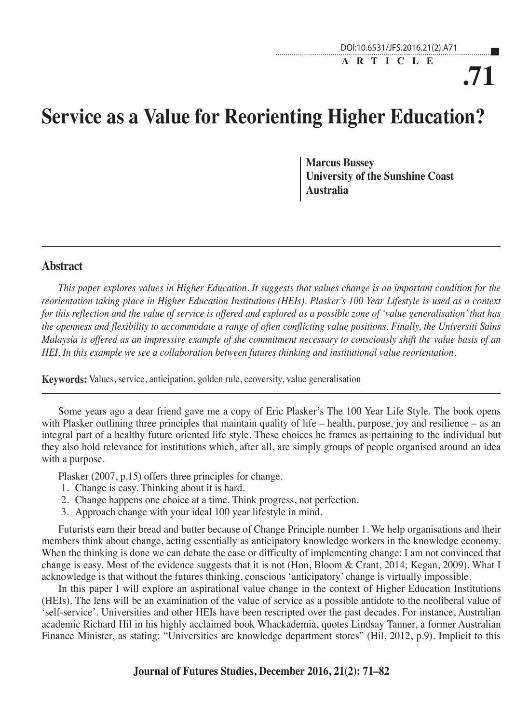# **.71 ARTICLE**

# **Service as a Value for Reorienting Higher Education?**

**Marcus Bussey University of the Sunshine Coast Australia**

#### **Abstract**

*This paper explores values in Higher Education. It suggests that values change is an important condition for the reorientation taking place in Higher Education Institutions (HEIs). Plasker's 100 Year Lifestyle is used as a context for this reflection and the value of service is offered and explored as a possible zone of 'value generalisation' that has the openness and flexibility to accommodate a range of often conflicting value positions. Finally, the Universiti Sains Malaysia is offered as an impressive example of the commitment necessary to consciously shift the value basis of an HEI. In this example we see a collaboration between futures thinking and institutional value reorientation.* 

**Keywords:** Values, service, anticipation, golden rule, ecoversity, value generalisation

Some years ago a dear friend gave me a copy of Eric Plasker's The 100 Year Life Style. The book opens with Plasker outlining three principles that maintain quality of life – health, purpose, joy and resilience – as an integral part of a healthy future oriented life style. These choices he frames as pertaining to the individual but they also hold relevance for institutions which, after all, are simply groups of people organised around an idea with a purpose.

Plasker (2007, p.15) offers three principles for change.

- 1. Change is easy. Thinking about it is hard.
- 2. Change happens one choice at a time. Think progress, not perfection.
- 3. Approach change with your ideal 100 year lifestyle in mind.

Futurists earn their bread and butter because of Change Principle number 1. We help organisations and their members think about change, acting essentially as anticipatory knowledge workers in the knowledge economy. When the thinking is done we can debate the ease or difficulty of implementing change: I am not convinced that change is easy. Most of the evidence suggests that it is not (Hon, Bloom & Crant, 2014; Kegan, 2009). What I acknowledge is that without the futures thinking, conscious 'anticipatory' change is virtually impossible.

In this paper I will explore an aspirational value change in the context of Higher Education Institutions (HEIs). The lens will be an examination of the value of service as a possible antidote to the neoliberal value of 'self-service'. Universities and other HEIs have been rescripted over the past decades. For instance, Australian academic Richard Hil in his highly acclaimed book Whackademia, quotes Lindsay Tanner, a former Australian Finance Minister, as stating: "Universities are knowledge department stores" (Hil, 2012, p.9). Implicit to this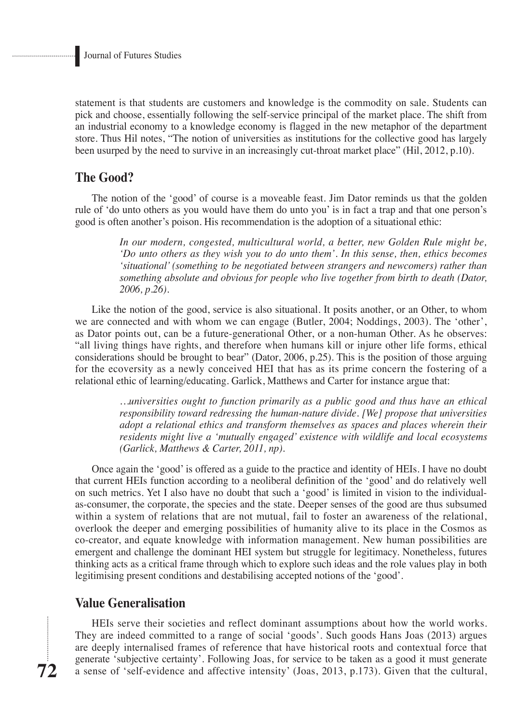statement is that students are customers and knowledge is the commodity on sale. Students can pick and choose, essentially following the self-service principal of the market place. The shift from an industrial economy to a knowledge economy is flagged in the new metaphor of the department store. Thus Hil notes, "The notion of universities as institutions for the collective good has largely been usurped by the need to survive in an increasingly cut-throat market place" (Hil, 2012, p.10).

## **The Good?**

The notion of the 'good' of course is a moveable feast. Jim Dator reminds us that the golden rule of 'do unto others as you would have them do unto you' is in fact a trap and that one person's good is often another's poison. His recommendation is the adoption of a situational ethic:

> *In our modern, congested, multicultural world, a better, new Golden Rule might be, 'Do unto others as they wish you to do unto them'. In this sense, then, ethics becomes 'situational' (something to be negotiated between strangers and newcomers) rather than something absolute and obvious for people who live together from birth to death (Dator, 2006, p.26).*

Like the notion of the good, service is also situational. It posits another, or an Other, to whom we are connected and with whom we can engage (Butler, 2004; Noddings, 2003). The 'other', as Dator points out, can be a future-generational Other, or a non-human Other. As he observes: "all living things have rights, and therefore when humans kill or injure other life forms, ethical considerations should be brought to bear" (Dator, 2006, p.25). This is the position of those arguing for the ecoversity as a newly conceived HEI that has as its prime concern the fostering of a relational ethic of learning/educating. Garlick, Matthews and Carter for instance argue that:

> *…universities ought to function primarily as a public good and thus have an ethical responsibility toward redressing the human-nature divide. [We] propose that universities adopt a relational ethics and transform themselves as spaces and places wherein their residents might live a 'mutually engaged' existence with wildlife and local ecosystems (Garlick, Matthews & Carter, 2011, np).*

Once again the 'good' is offered as a guide to the practice and identity of HEIs. I have no doubt that current HEIs function according to a neoliberal definition of the 'good' and do relatively well on such metrics. Yet I also have no doubt that such a 'good' is limited in vision to the individualas-consumer, the corporate, the species and the state. Deeper senses of the good are thus subsumed within a system of relations that are not mutual, fail to foster an awareness of the relational, overlook the deeper and emerging possibilities of humanity alive to its place in the Cosmos as co-creator, and equate knowledge with information management. New human possibilities are emergent and challenge the dominant HEI system but struggle for legitimacy. Nonetheless, futures thinking acts as a critical frame through which to explore such ideas and the role values play in both legitimising present conditions and destabilising accepted notions of the 'good'.

## **Value Generalisation**

HEIs serve their societies and reflect dominant assumptions about how the world works. They are indeed committed to a range of social 'goods'. Such goods Hans Joas (2013) argues are deeply internalised frames of reference that have historical roots and contextual force that generate 'subjective certainty'. Following Joas, for service to be taken as a good it must generate a sense of 'self-evidence and affective intensity' (Joas, 2013, p.173). Given that the cultural,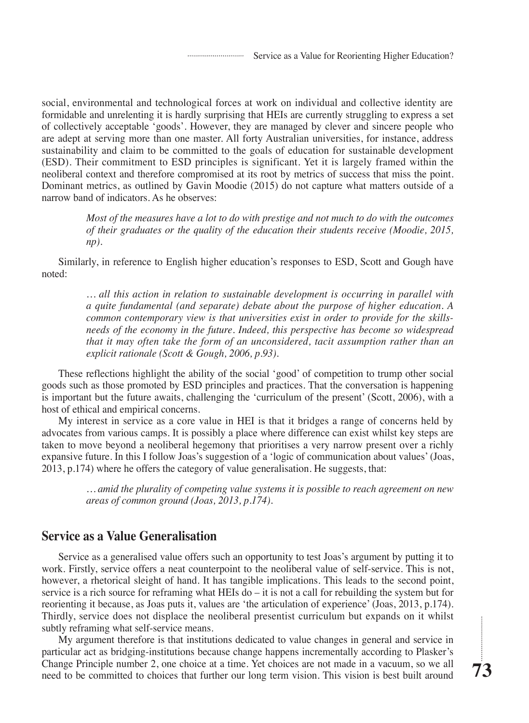social, environmental and technological forces at work on individual and collective identity are formidable and unrelenting it is hardly surprising that HEIs are currently struggling to express a set of collectively acceptable 'goods'. However, they are managed by clever and sincere people who are adept at serving more than one master. All forty Australian universities, for instance, address sustainability and claim to be committed to the goals of education for sustainable development (ESD). Their commitment to ESD principles is significant. Yet it is largely framed within the neoliberal context and therefore compromised at its root by metrics of success that miss the point. Dominant metrics, as outlined by Gavin Moodie (2015) do not capture what matters outside of a narrow band of indicators. As he observes:

> *Most of the measures have a lot to do with prestige and not much to do with the outcomes of their graduates or the quality of the education their students receive (Moodie, 2015, np).*

Similarly, in reference to English higher education's responses to ESD, Scott and Gough have noted:

> *… all this action in relation to sustainable development is occurring in parallel with a quite fundamental (and separate) debate about the purpose of higher education. A common contemporary view is that universities exist in order to provide for the skillsneeds of the economy in the future. Indeed, this perspective has become so widespread that it may often take the form of an unconsidered, tacit assumption rather than an explicit rationale (Scott & Gough, 2006, p.93).*

These reflections highlight the ability of the social 'good' of competition to trump other social goods such as those promoted by ESD principles and practices. That the conversation is happening is important but the future awaits, challenging the 'curriculum of the present' (Scott, 2006), with a host of ethical and empirical concerns.

My interest in service as a core value in HEI is that it bridges a range of concerns held by advocates from various camps. It is possibly a place where difference can exist whilst key steps are taken to move beyond a neoliberal hegemony that prioritises a very narrow present over a richly expansive future. In this I follow Joas's suggestion of a 'logic of communication about values' (Joas, 2013, p.174) where he offers the category of value generalisation. He suggests, that:

> *… amid the plurality of competing value systems it is possible to reach agreement on new areas of common ground (Joas, 2013, p.174).*

#### **Service as a Value Generalisation**

Service as a generalised value offers such an opportunity to test Joas's argument by putting it to work. Firstly, service offers a neat counterpoint to the neoliberal value of self-service. This is not, however, a rhetorical sleight of hand. It has tangible implications. This leads to the second point, service is a rich source for reframing what HEIs  $d\sigma - i\tau$  is not a call for rebuilding the system but for reorienting it because, as Joas puts it, values are 'the articulation of experience' (Joas, 2013, p.174). Thirdly, service does not displace the neoliberal presentist curriculum but expands on it whilst subtly reframing what self-service means.

My argument therefore is that institutions dedicated to value changes in general and service in particular act as bridging-institutions because change happens incrementally according to Plasker's Change Principle number 2, one choice at a time. Yet choices are not made in a vacuum, so we all need to be committed to choices that further our long term vision. This vision is best built around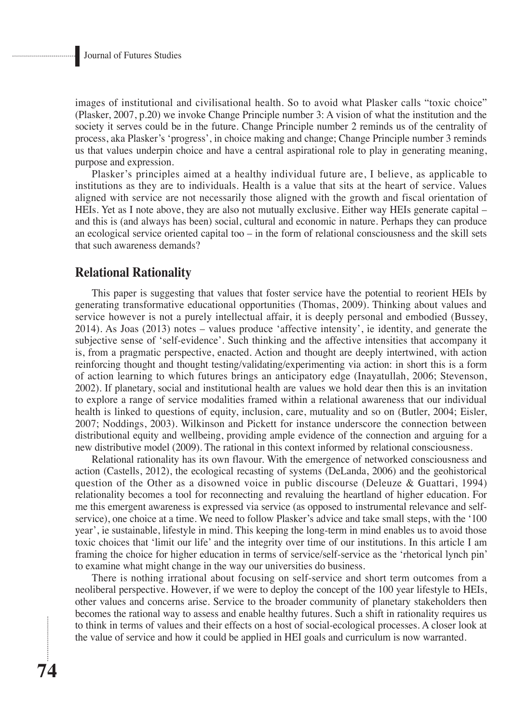images of institutional and civilisational health. So to avoid what Plasker calls "toxic choice" (Plasker, 2007, p.20) we invoke Change Principle number 3: A vision of what the institution and the society it serves could be in the future. Change Principle number 2 reminds us of the centrality of process, aka Plasker's 'progress', in choice making and change; Change Principle number 3 reminds us that values underpin choice and have a central aspirational role to play in generating meaning, purpose and expression.

Plasker's principles aimed at a healthy individual future are, I believe, as applicable to institutions as they are to individuals. Health is a value that sits at the heart of service. Values aligned with service are not necessarily those aligned with the growth and fiscal orientation of HEIs. Yet as I note above, they are also not mutually exclusive. Either way HEIs generate capital – and this is (and always has been) social, cultural and economic in nature. Perhaps they can produce an ecological service oriented capital too – in the form of relational consciousness and the skill sets that such awareness demands?

## **Relational Rationality**

This paper is suggesting that values that foster service have the potential to reorient HEIs by generating transformative educational opportunities (Thomas, 2009). Thinking about values and service however is not a purely intellectual affair, it is deeply personal and embodied (Bussey, 2014). As Joas (2013) notes – values produce 'affective intensity', ie identity, and generate the subjective sense of 'self-evidence'. Such thinking and the affective intensities that accompany it is, from a pragmatic perspective, enacted. Action and thought are deeply intertwined, with action reinforcing thought and thought testing/validating/experimenting via action: in short this is a form of action learning to which futures brings an anticipatory edge (Inayatullah, 2006; Stevenson, 2002). If planetary, social and institutional health are values we hold dear then this is an invitation to explore a range of service modalities framed within a relational awareness that our individual health is linked to questions of equity, inclusion, care, mutuality and so on (Butler, 2004; Eisler, 2007; Noddings, 2003). Wilkinson and Pickett for instance underscore the connection between distributional equity and wellbeing, providing ample evidence of the connection and arguing for a new distributive model (2009). The rational in this context informed by relational consciousness.

Relational rationality has its own flavour. With the emergence of networked consciousness and action (Castells, 2012), the ecological recasting of systems (DeLanda, 2006) and the geohistorical question of the Other as a disowned voice in public discourse (Deleuze & Guattari, 1994) relationality becomes a tool for reconnecting and revaluing the heartland of higher education. For me this emergent awareness is expressed via service (as opposed to instrumental relevance and selfservice), one choice at a time. We need to follow Plasker's advice and take small steps, with the '100 year', ie sustainable, lifestyle in mind. This keeping the long-term in mind enables us to avoid those toxic choices that 'limit our life' and the integrity over time of our institutions. In this article I am framing the choice for higher education in terms of service/self-service as the 'rhetorical lynch pin' to examine what might change in the way our universities do business.

There is nothing irrational about focusing on self-service and short term outcomes from a neoliberal perspective. However, if we were to deploy the concept of the 100 year lifestyle to HEIs, other values and concerns arise. Service to the broader community of planetary stakeholders then becomes the rational way to assess and enable healthy futures. Such a shift in rationality requires us to think in terms of values and their effects on a host of social-ecological processes. A closer look at the value of service and how it could be applied in HEI goals and curriculum is now warranted.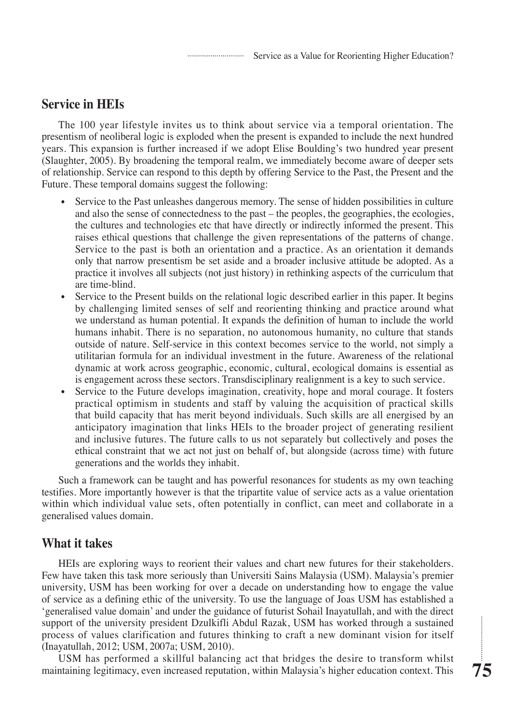Service as a Value for Reorienting Higher Education?

# **Service in HEIs**

The 100 year lifestyle invites us to think about service via a temporal orientation. The presentism of neoliberal logic is exploded when the present is expanded to include the next hundred years. This expansion is further increased if we adopt Elise Boulding's two hundred year present (Slaughter, 2005). By broadening the temporal realm, we immediately become aware of deeper sets of relationship. Service can respond to this depth by offering Service to the Past, the Present and the Future. These temporal domains suggest the following:

- Service to the Past unleashes dangerous memory. The sense of hidden possibilities in culture and also the sense of connectedness to the past – the peoples, the geographies, the ecologies, the cultures and technologies etc that have directly or indirectly informed the present. This raises ethical questions that challenge the given representations of the patterns of change. Service to the past is both an orientation and a practice. As an orientation it demands only that narrow presentism be set aside and a broader inclusive attitude be adopted. As a practice it involves all subjects (not just history) in rethinking aspects of the curriculum that are time-blind.
- Service to the Present builds on the relational logic described earlier in this paper. It begins by challenging limited senses of self and reorienting thinking and practice around what we understand as human potential. It expands the definition of human to include the world humans inhabit. There is no separation, no autonomous humanity, no culture that stands outside of nature. Self-service in this context becomes service to the world, not simply a utilitarian formula for an individual investment in the future. Awareness of the relational dynamic at work across geographic, economic, cultural, ecological domains is essential as is engagement across these sectors. Transdisciplinary realignment is a key to such service.
- Service to the Future develops imagination, creativity, hope and moral courage. It fosters practical optimism in students and staff by valuing the acquisition of practical skills that build capacity that has merit beyond individuals. Such skills are all energised by an anticipatory imagination that links HEIs to the broader project of generating resilient and inclusive futures. The future calls to us not separately but collectively and poses the ethical constraint that we act not just on behalf of, but alongside (across time) with future generations and the worlds they inhabit.

Such a framework can be taught and has powerful resonances for students as my own teaching testifies. More importantly however is that the tripartite value of service acts as a value orientation within which individual value sets, often potentially in conflict, can meet and collaborate in a generalised values domain.

# **What it takes**

HEIs are exploring ways to reorient their values and chart new futures for their stakeholders. Few have taken this task more seriously than Universiti Sains Malaysia (USM). Malaysia's premier university, USM has been working for over a decade on understanding how to engage the value of service as a defining ethic of the university. To use the language of Joas USM has established a 'generalised value domain' and under the guidance of futurist Sohail Inayatullah, and with the direct support of the university president Dzulkifli Abdul Razak, USM has worked through a sustained process of values clarification and futures thinking to craft a new dominant vision for itself (Inayatullah, 2012; USM, 2007a; USM, 2010).

USM has performed a skillful balancing act that bridges the desire to transform whilst maintaining legitimacy, even increased reputation, within Malaysia's higher education context. This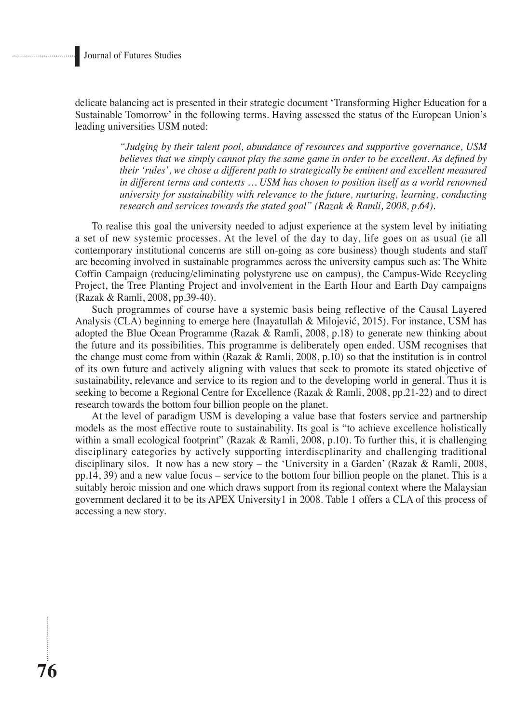**76**

delicate balancing act is presented in their strategic document 'Transforming Higher Education for a Sustainable Tomorrow' in the following terms. Having assessed the status of the European Union's leading universities USM noted:

> *"Judging by their talent pool, abundance of resources and supportive governance, USM believes that we simply cannot play the same game in order to be excellent. As defined by their 'rules', we chose a different path to strategically be eminent and excellent measured in different terms and contexts … USM has chosen to position itself as a world renowned university for sustainability with relevance to the future, nurturing, learning, conducting research and services towards the stated goal" (Razak & Ramli, 2008, p.64).*

To realise this goal the university needed to adjust experience at the system level by initiating a set of new systemic processes. At the level of the day to day, life goes on as usual (ie all contemporary institutional concerns are still on-going as core business) though students and staff are becoming involved in sustainable programmes across the university campus such as: The White Coffin Campaign (reducing/eliminating polystyrene use on campus), the Campus-Wide Recycling Project, the Tree Planting Project and involvement in the Earth Hour and Earth Day campaigns (Razak & Ramli, 2008, pp.39-40).

Such programmes of course have a systemic basis being reflective of the Causal Layered Analysis (CLA) beginning to emerge here (Inayatullah & Milojević, 2015). For instance, USM has adopted the Blue Ocean Programme (Razak & Ramli, 2008, p.18) to generate new thinking about the future and its possibilities. This programme is deliberately open ended. USM recognises that the change must come from within (Razak & Ramli, 2008, p.10) so that the institution is in control of its own future and actively aligning with values that seek to promote its stated objective of sustainability, relevance and service to its region and to the developing world in general. Thus it is seeking to become a Regional Centre for Excellence (Razak & Ramli, 2008, pp.21-22) and to direct research towards the bottom four billion people on the planet.

At the level of paradigm USM is developing a value base that fosters service and partnership models as the most effective route to sustainability. Its goal is "to achieve excellence holistically within a small ecological footprint" (Razak & Ramli, 2008, p.10). To further this, it is challenging disciplinary categories by actively supporting interdiscplinarity and challenging traditional disciplinary silos. It now has a new story – the 'University in a Garden' (Razak & Ramli, 2008, pp.14, 39) and a new value focus – service to the bottom four billion people on the planet. This is a suitably heroic mission and one which draws support from its regional context where the Malaysian government declared it to be its APEX University1 in 2008. Table 1 offers a CLA of this process of accessing a new story.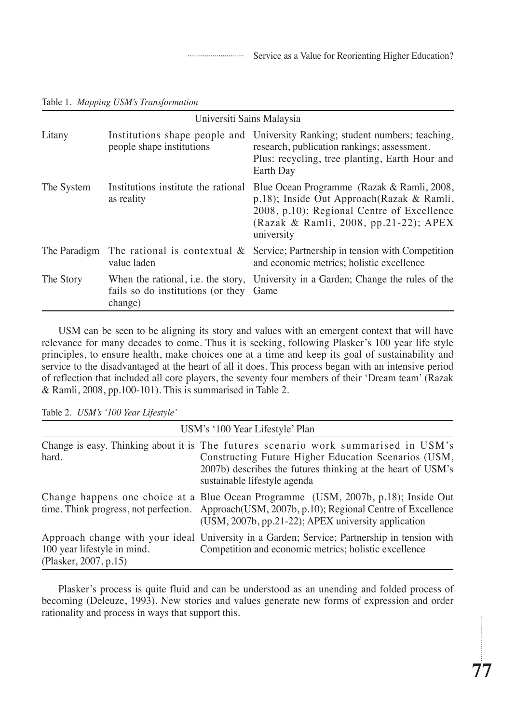| Universiti Sains Malaysia |                                                            |                                                                                                                                                                                              |  |  |
|---------------------------|------------------------------------------------------------|----------------------------------------------------------------------------------------------------------------------------------------------------------------------------------------------|--|--|
| Litany                    | Institutions shape people and<br>people shape institutions | University Ranking; student numbers; teaching,<br>research, publication rankings; assessment.<br>Plus: recycling, tree planting, Earth Hour and<br>Earth Day                                 |  |  |
| The System                | Institutions institute the rational<br>as reality          | Blue Ocean Programme (Razak & Ramli, 2008,<br>p.18); Inside Out Approach(Razak & Ramli,<br>2008, p.10); Regional Centre of Excellence<br>(Razak & Ramli, 2008, pp.21-22); APEX<br>university |  |  |
| The Paradigm              | The rational is contextual $\&$<br>value laden             | Service; Partnership in tension with Competition<br>and economic metrics; holistic excellence                                                                                                |  |  |
| The Story                 | fails so do institutions (or they Game<br>change)          | When the rational, i.e. the story, University in a Garden; Change the rules of the                                                                                                           |  |  |

Table 1. *Mapping USM's Transformation*

USM can be seen to be aligning its story and values with an emergent context that will have relevance for many decades to come. Thus it is seeking, following Plasker's 100 year life style principles, to ensure health, make choices one at a time and keep its goal of sustainability and service to the disadvantaged at the heart of all it does. This process began with an intensive period of reflection that included all core players, the seventy four members of their 'Dream team' (Razak & Ramli, 2008, pp.100-101). This is summarised in Table 2.

|  |  |  |  | Table 2. USM's '100 Year Lifestyle' |
|--|--|--|--|-------------------------------------|
|--|--|--|--|-------------------------------------|

| USM's '100 Year Lifestyle' Plan                      |                                                                                                                                                                                                                                               |  |  |  |
|------------------------------------------------------|-----------------------------------------------------------------------------------------------------------------------------------------------------------------------------------------------------------------------------------------------|--|--|--|
| hard.                                                | Change is easy. Thinking about it is The futures scenario work summarised in USM's<br>Constructing Future Higher Education Scenarios (USM,<br>2007b) describes the futures thinking at the heart of USM's<br>sustainable lifestyle agenda     |  |  |  |
|                                                      | Change happens one choice at a Blue Ocean Programme (USM, 2007b, p.18); Inside Out<br>time. Think progress, not perfection. Approach (USM, 2007b, p.10); Regional Centre of Excellence<br>(USM, 2007b, pp.21-22); APEX university application |  |  |  |
| 100 year lifestyle in mind.<br>(Plasker, 2007, p.15) | Approach change with your ideal University in a Garden; Service; Partnership in tension with<br>Competition and economic metrics; holistic excellence                                                                                         |  |  |  |

Plasker's process is quite fluid and can be understood as an unending and folded process of becoming (Deleuze, 1993). New stories and values generate new forms of expression and order rationality and process in ways that support this.

............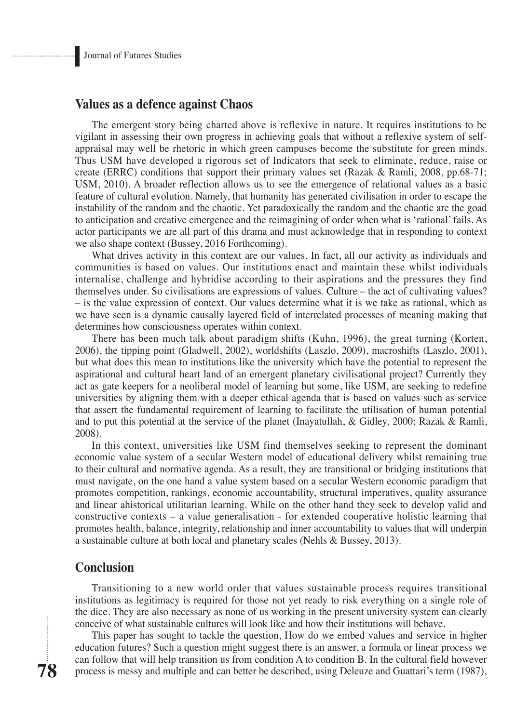#### **Values as a defence against Chaos**

The emergent story being charted above is reflexive in nature. It requires institutions to be vigilant in assessing their own progress in achieving goals that without a reflexive system of selfappraisal may well be rhetoric in which green campuses become the substitute for green minds. Thus USM have developed a rigorous set of Indicators that seek to eliminate, reduce, raise or create (ERRC) conditions that support their primary values set (Razak & Ramli, 2008, pp.68-71; USM, 2010). A broader reflection allows us to see the emergence of relational values as a basic feature of cultural evolution. Namely, that humanity has generated civilisation in order to escape the instability of the random and the chaotic. Yet paradoxically the random and the chaotic are the goad to anticipation and creative emergence and the reimagining of order when what is 'rational' fails. As actor participants we are all part of this drama and must acknowledge that in responding to context we also shape context (Bussey, 2016 Forthcoming).

What drives activity in this context are our values. In fact, all our activity as individuals and communities is based on values. Our institutions enact and maintain these whilst individuals internalise, challenge and hybridise according to their aspirations and the pressures they find themselves under. So civilisations are expressions of values. Culture – the act of cultivating values? – is the value expression of context. Our values determine what it is we take as rational, which as we have seen is a dynamic causally layered field of interrelated processes of meaning making that determines how consciousness operates within context.

There has been much talk about paradigm shifts (Kuhn, 1996), the great turning (Korten, 2006), the tipping point (Gladwell, 2002), worldshifts (Laszlo, 2009), macroshifts (Laszlo, 2001), but what does this mean to institutions like the university which have the potential to represent the aspirational and cultural heart land of an emergent planetary civilisational project? Currently they act as gate keepers for a neoliberal model of learning but some, like USM, are seeking to redefine universities by aligning them with a deeper ethical agenda that is based on values such as service that assert the fundamental requirement of learning to facilitate the utilisation of human potential and to put this potential at the service of the planet (Inayatullah, & Gidley, 2000; Razak & Ramli, 2008).

In this context, universities like USM find themselves seeking to represent the dominant economic value system of a secular Western model of educational delivery whilst remaining true to their cultural and normative agenda. As a result, they are transitional or bridging institutions that must navigate, on the one hand a value system based on a secular Western economic paradigm that promotes competition, rankings, economic accountability, structural imperatives, quality assurance and linear ahistorical utilitarian learning. While on the other hand they seek to develop valid and constructive contexts – a value generalisation - for extended cooperative holistic learning that promotes health, balance, integrity, relationship and inner accountability to values that will underpin a sustainable culture at both local and planetary scales (Nehls & Bussey, 2013).

## **Conclusion**

Transitioning to a new world order that values sustainable process requires transitional institutions as legitimacy is required for those not yet ready to risk everything on a single role of the dice. They are also necessary as none of us working in the present university system can clearly conceive of what sustainable cultures will look like and how their institutions will behave.

This paper has sought to tackle the question, How do we embed values and service in higher education futures? Such a question might suggest there is an answer, a formula or linear process we can follow that will help transition us from condition A to condition B. In the cultural field however process is messy and multiple and can better be described, using Deleuze and Guattari's term (1987),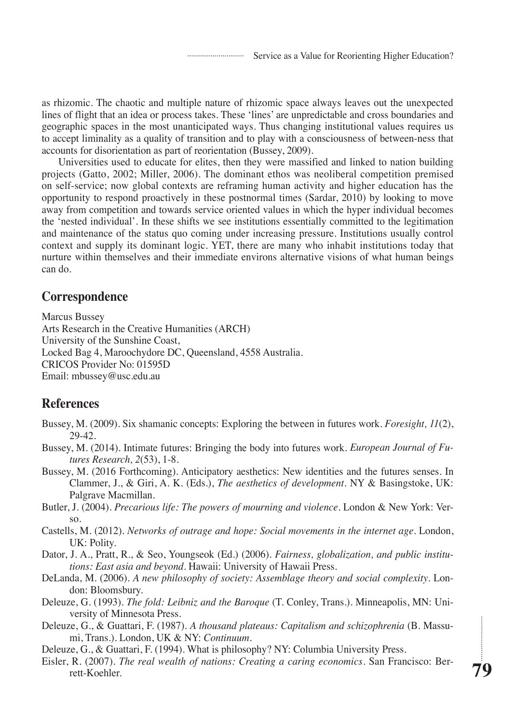as rhizomic. The chaotic and multiple nature of rhizomic space always leaves out the unexpected lines of flight that an idea or process takes. These 'lines' are unpredictable and cross boundaries and geographic spaces in the most unanticipated ways. Thus changing institutional values requires us to accept liminality as a quality of transition and to play with a consciousness of between-ness that accounts for disorientation as part of reorientation (Bussey, 2009).

Universities used to educate for elites, then they were massified and linked to nation building projects (Gatto, 2002; Miller, 2006). The dominant ethos was neoliberal competition premised on self-service; now global contexts are reframing human activity and higher education has the opportunity to respond proactively in these postnormal times (Sardar, 2010) by looking to move away from competition and towards service oriented values in which the hyper individual becomes the 'nested individual'. In these shifts we see institutions essentially committed to the legitimation and maintenance of the status quo coming under increasing pressure. Institutions usually control context and supply its dominant logic. YET, there are many who inhabit institutions today that nurture within themselves and their immediate environs alternative visions of what human beings can do.

## **Correspondence**

Marcus Bussey Arts Research in the Creative Humanities (ARCH) University of the Sunshine Coast, Locked Bag 4, Maroochydore DC, Queensland, 4558 Australia. CRICOS Provider No: 01595D Email: mbussey@usc.edu.au

## **References**

- Bussey, M. (2009). Six shamanic concepts: Exploring the between in futures work. *Foresight, 11*(2), 29-42.
- Bussey, M. (2014). Intimate futures: Bringing the body into futures work. *European Journal of Futures Research, 2*(53), 1-8.
- Bussey, M. (2016 Forthcoming). Anticipatory aesthetics: New identities and the futures senses. In Clammer, J., & Giri, A. K. (Eds.), *The aesthetics of development*. NY & Basingstoke, UK: Palgrave Macmillan.
- Butler, J. (2004). *Precarious life: The powers of mourning and violence*. London & New York: Verso.
- Castells, M. (2012). *Networks of outrage and hope: Social movements in the internet age*. London, UK: Polity.
- Dator, J. A., Pratt, R., & Seo, Youngseok (Ed.) (2006). *Fairness, globalization, and public institutions: East asia and beyond*. Hawaii: University of Hawaii Press.
- DeLanda, M. (2006). *A new philosophy of society: Assemblage theory and social complexity*. London: Bloomsbury.
- Deleuze, G. (1993). *The fold: Leibniz and the Baroque* (T. Conley, Trans.). Minneapolis, MN: University of Minnesota Press.
- Deleuze, G., & Guattari, F. (1987). *A thousand plateaus: Capitalism and schizophrenia* (B. Massumi, Trans.). London, UK & NY: *Continuum*.
- Deleuze, G., & Guattari, F. (1994). What is philosophy? NY: Columbia University Press.
- Eisler, R. (2007). *The real wealth of nations: Creating a caring economics*. San Francisco: Berrett-Koehler.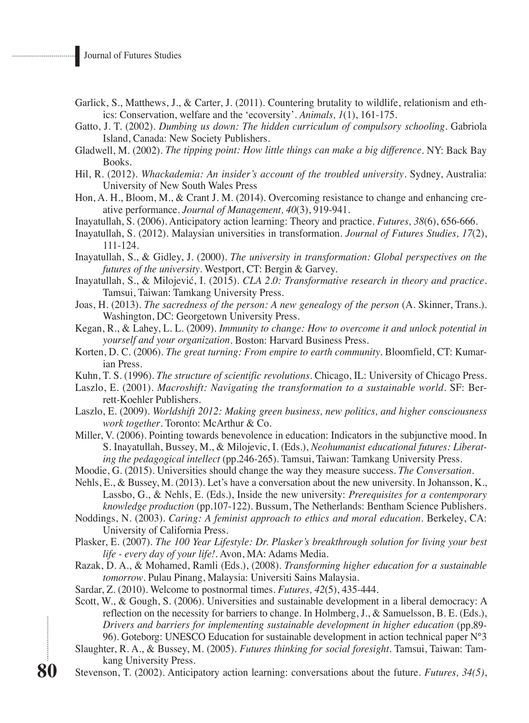- Garlick, S., Matthews, J., & Carter, J. (2011). Countering brutality to wildlife, relationism and ethics: Conservation, welfare and the 'ecoversity'. *Animals, 1*(1), 161-175.
- Gatto, J. T. (2002). *Dumbing us down: The hidden curriculum of compulsory schooling*. Gabriola Island, Canada: New Society Publishers.
- Gladwell, M. (2002). *The tipping point: How little things can make a big difference*. NY: Back Bay Books.
- Hil, R. (2012). *Whackademia: An insider's account of the troubled university*. Sydney, Australia: University of New South Wales Press

Hon, A. H., Bloom, M., & Crant J. M. (2014). Overcoming resistance to change and enhancing creative performance. *Journal of Management, 40*(3), 919-941.

- Inayatullah, S. (2006). Anticipatory action learning: Theory and practice. *Futures, 38*(6), 656-666.
- Inayatullah, S. (2012). Malaysian universities in transformation. *Journal of Futures Studies, 17*(2), 111-124.
- Inayatullah, S., & Gidley, J. (2000). *The university in transformation: Global perspectives on the futures of the university*. Westport, CT: Bergin & Garvey.
- Inayatullah, S., & Milojević, I. (2015). *CLA 2.0: Transformative research in theory and practice*. Tamsui, Taiwan: Tamkang University Press.
- Joas, H. (2013). *The sacredness of the person: A new genealogy of the person* (A. Skinner, Trans.). Washington, DC: Georgetown University Press.
- Kegan, R., & Lahey, L. L. (2009). *Immunity to change: How to overcome it and unlock potential in yourself and your organization*. Boston: Harvard Business Press.
- Korten, D. C. (2006). *The great turning: From empire to earth community*. Bloomfield, CT: Kumarian Press.
- Kuhn, T. S. (1996). *The structure of scientific revolutions.* Chicago, IL: University of Chicago Press.
- Laszlo, E. (2001). *Macroshift: Navigating the transformation to a sustainable world*. SF: Berrett-Koehler Publishers.
- Laszlo, E. (2009). *Worldshift 2012: Making green business, new politics, and higher consciousness work together*. Toronto: McArthur & Co.
- Miller, V. (2006). Pointing towards benevolence in education: Indicators in the subjunctive mood. In S. Inayatullah, Bussey, M., & Milojevic, I. (Eds.), *Neohumanist educational futures: Liberating the pedagogical intellect* (pp.246-265). Tamsui, Taiwan: Tamkang University Press.
- Moodie, G. (2015). Universities should change the way they measure success. *The Conversation*.
- Nehls, E., & Bussey, M. (2013). Let's have a conversation about the new university. In Johansson, K., Lassbo, G., & Nehls, E. (Eds.), Inside the new university: *Prerequisites for a contemporary knowledge production* (pp.107-122). Bussum, The Netherlands: Bentham Science Publishers.
- Noddings, N. (2003). *Caring: A feminist approach to ethics and moral education*. Berkeley, CA: University of California Press.
- Plasker, E. (2007). *The 100 Year Lifestyle: Dr. Plasker's breakthrough solution for living your best life - every day of your life!*. Avon, MA: Adams Media.
- Razak, D. A., & Mohamed, Ramli (Eds.), (2008). *Transforming higher education for a sustainable tomorrow*. Pulau Pinang, Malaysia: Universiti Sains Malaysia.
- Sardar, Z. (2010). Welcome to postnormal times. *Futures, 42*(5), 435-444.

Scott, W., & Gough, S. (2006). Universities and sustainable development in a liberal democracy: A reflection on the necessity for barriers to change. In Holmberg, J., & Samuelsson, B. E. (Eds.), *Drivers and barriers for implementing sustainable development in higher education* (pp.89- 96). Goteborg: UNESCO Education for sustainable development in action technical paper N°3

- Slaughter, R. A., & Bussey, M. (2005). *Futures thinking for social foresight*. Tamsui, Taiwan: Tamkang University Press.
- Stevenson, T. (2002). Anticipatory action learning: conversations about the future. *Futures, 34(5)*,

**80**